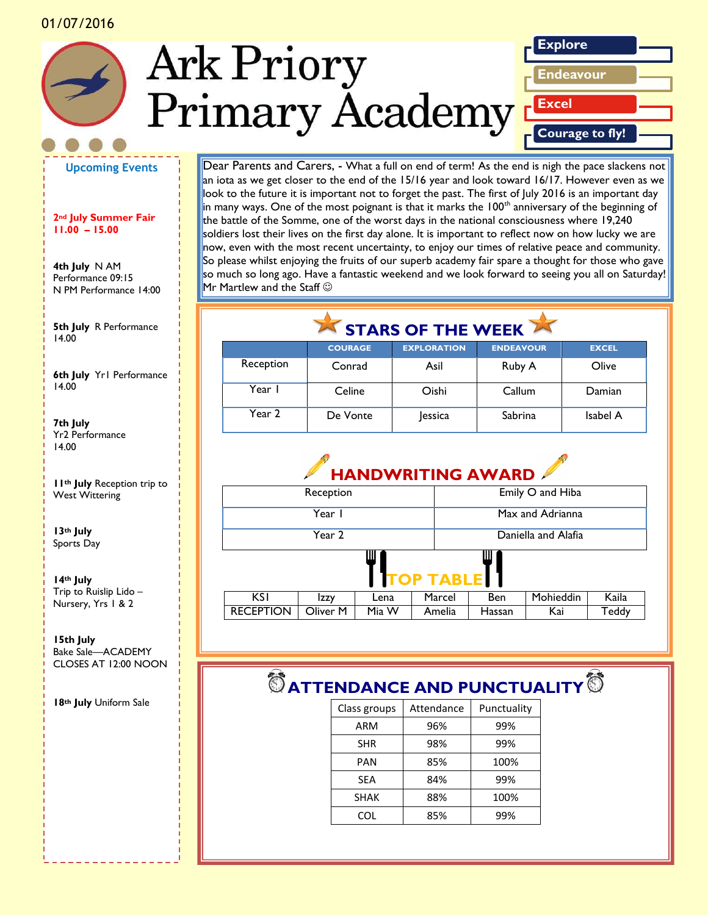



**Upcoming Events**

#### **2nd July Summer Fair 11.00 – 15.00**

**4th July** N AM Performance 09:15 N PM Performance 14:00

**5th July** R Performance *picture or graphic.* 14.00

**6th July** Yr1 Performance 14.00

**7th July** Yr2 Performance 14.00

**11th July** Reception trip to West Wittering

**13th July** Sports Day

**14th July** Trip to Ruislip Lido – Nursery, Yrs 1 & 2

**15th July** Bake Sale—ACADEMY CLOSES AT 12:00 NOON

**18th July** Uniform Sale

Dear Parents and Carers, - What a full on end of term! As the end is nigh the pace slackens not an iota as we get closer to the end of the 15/16 year and look toward 16/17. However even as we look to the future it is important not to forget the past. The first of July 2016 is an important day  $\frac{1}{2}$  in many ways. One of the most poignant is that it marks the  $100<sup>th</sup>$  anniversary of the beginning of the battle of the Somme, one of the worst days in the national consciousness where 19,240 soldiers lost their lives on the first day alone. It is important to reflect now on how lucky we are now, even with the most recent uncertainty, to enjoy our times of relative peace and community. So please whilst enjoying the fruits of our superb academy fair spare a thought for those who gave so much so long ago. Have a fantastic weekend and we look forward to seeing you all on Saturday!  $Mr$  Martlew and the Staff  $\odot$ 

## STARS OF THE WEEK

|           | <b>COURAGE</b> | <b>EXPLORATION</b> | <b>ENDEAVOUR</b> | <b>EXCEL</b> |
|-----------|----------------|--------------------|------------------|--------------|
| Reception | Conrad         | Asil               | Ruby A           | Olive        |
| Year I    | Celine         | Oishi              | Callum           | Damian       |
| Year 2    | De Vonte       | lessica            | Sabrina          | Isabel A     |



# $\bullet$  ATTENDANCE AND PUNCTUALITY  $\bullet$

| Class groups | Attendance | Punctuality |
|--------------|------------|-------------|
| ARM          | 96%        | 99%         |
| <b>SHR</b>   | 98%        | 99%         |
| PAN          | 85%        | 100%        |
| <b>SEA</b>   | 84%        | 99%         |
| <b>SHAK</b>  | 88%        | 100%        |
| COL          | 85%        | 99%         |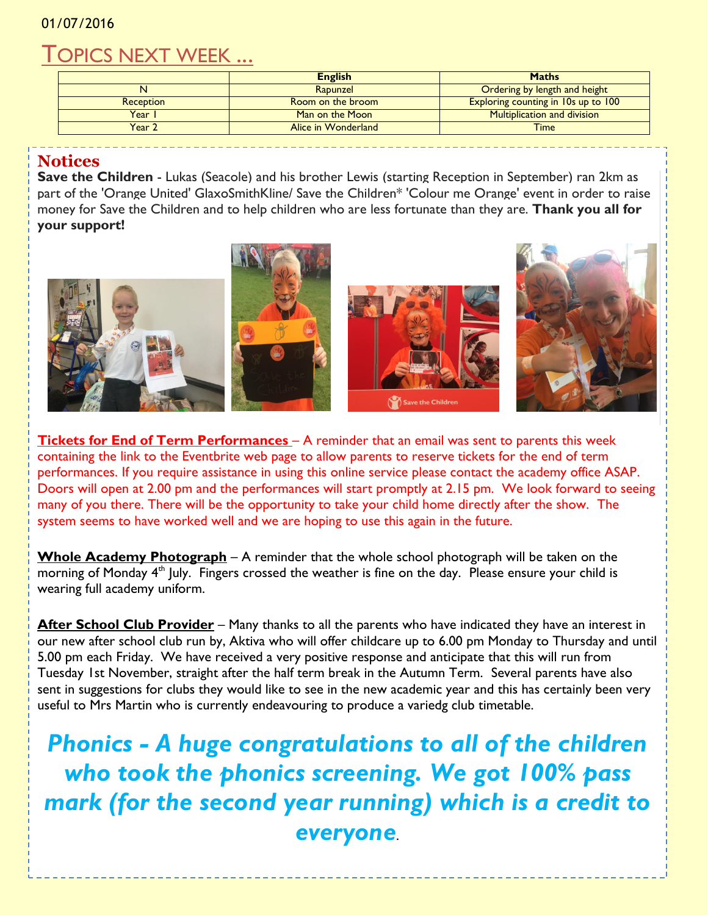### TOPICS NEXT WEEK ...

|                  | <b>English</b>      | <b>Maths</b>                        |
|------------------|---------------------|-------------------------------------|
|                  | Rapunzel            | Ordering by length and height       |
| <b>Reception</b> | Room on the broom   | Exploring counting in 10s up to 100 |
| Year I           | Man on the Moon     | <b>Multiplication and division</b>  |
| Year 2           | Alice in Wonderland | <b>Time</b>                         |

#### **Notices**

**Save the Children** - Lukas (Seacole) and his brother Lewis (starting Reception in September) ran 2km as part of the 'Orange United' GlaxoSmithKline/ Save the Children\* 'Colour me Orange' event in order to raise money for Save the Children and to help children who are less fortunate than they are. **Thank you all for your support!**



**Tickets for End of Term Performances** – A reminder that an email was sent to parents this week containing the link to the Eventbrite web page to allow parents to reserve tickets for the end of term performances. If you require assistance in using this online service please contact the academy office ASAP. Doors will open at 2.00 pm and the performances will start promptly at 2.15 pm. We look forward to seeing many of you there. There will be the opportunity to take your child home directly after the show. The system seems to have worked well and we are hoping to use this again in the future.

**Whole Academy Photograph** – A reminder that the whole school photograph will be taken on the morning of Monday  $4<sup>th</sup>$  July. Fingers crossed the weather is fine on the day. Please ensure your child is wearing full academy uniform.

After School Club Provider - Many thanks to all the parents who have indicated they have an interest in our new after school club run by, Aktiva who will offer childcare up to 6.00 pm Monday to Thursday and until 5.00 pm each Friday. We have received a very positive response and anticipate that this will run from Tuesday 1st November, straight after the half term break in the Autumn Term. Several parents have also sent in suggestions for clubs they would like to see in the new academic year and this has certainly been very useful to Mrs Martin who is currently endeavouring to produce a variedg club timetable.

*Phonics - A huge congratulations to all of the children who took the phonics screening. We got 100% pass mark (for the second year running) which is a credit to everyone*.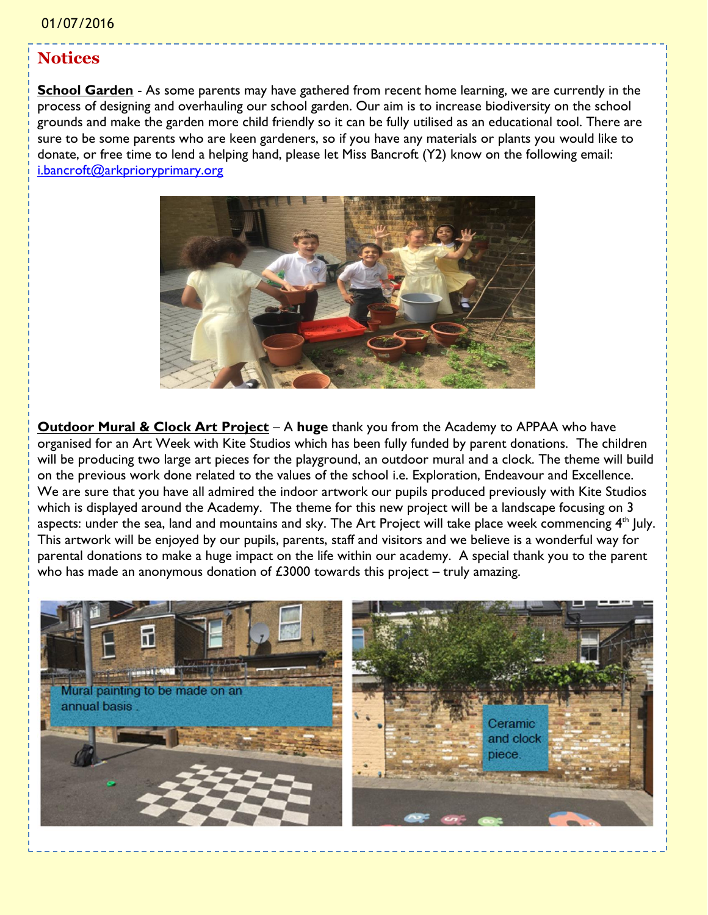#### **Notices**

**School Garden** - As some parents may have gathered from recent home learning, we are currently in the process of designing and overhauling our school garden. Our aim is to increase biodiversity on the school grounds and make the garden more child friendly so it can be fully utilised as an educational tool. There are sure to be some parents who are keen gardeners, so if you have any materials or plants you would like to donate, or free time to lend a helping hand, please let Miss Bancroft (Y2) know on the following email: [i.bancroft@arkprioryprimary.org](mailto:i.bancroft@arkprioryprimary.org)



**Outdoor Mural & Clock Art Project** – A huge thank you from the Academy to APPAA who have organised for an Art Week with Kite Studios which has been fully funded by parent donations. The children will be producing two large art pieces for the playground, an outdoor mural and a clock. The theme will build on the previous work done related to the values of the school i.e. Exploration, Endeavour and Excellence. We are sure that you have all admired the indoor artwork our pupils produced previously with Kite Studios which is displayed around the Academy. The theme for this new project will be a landscape focusing on 3 aspects: under the sea, land and mountains and sky. The Art Project will take place week commencing  $4<sup>th</sup>$  July. This artwork will be enjoyed by our pupils, parents, staff and visitors and we believe is a wonderful way for parental donations to make a huge impact on the life within our academy. A special thank you to the parent who has made an anonymous donation of  $£3000$  towards this project – truly amazing.

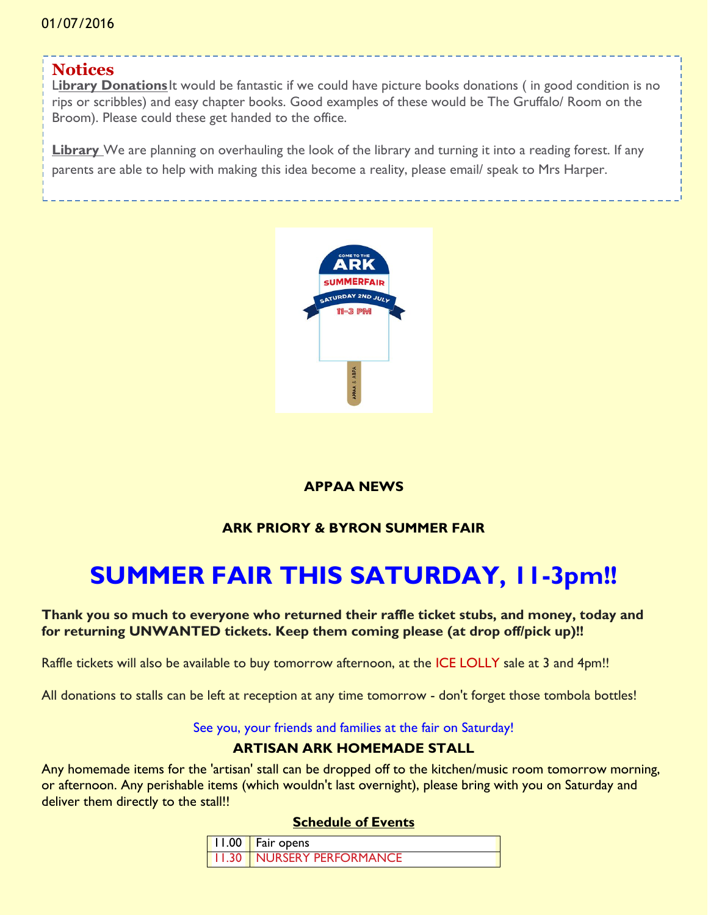### **Notices**

Library Donations<sup>It</sup> would be fantastic if we could have picture books donations (in good condition is no rips or scribbles) and easy chapter books. Good examples of these would be The Gruffalo/ Room on the Broom). Please could these get handed to the office.

**Library** We are planning on overhauling the look of the library and turning it into a reading forest. If any parents are able to help with making this idea become a reality, please email/ speak to Mrs Harper.



#### **APPAA NEWS**

### **ARK PRIORY & BYRON SUMMER FAIR**

## **SUMMER FAIR THIS SATURDAY, 11-3pm!!**

#### **Thank you so much to everyone who returned their raffle ticket stubs, and money, today and for returning UNWANTED tickets. Keep them coming please (at drop off/pick up)!!**

Raffle tickets will also be available to buy tomorrow afternoon, at the ICE LOLLY sale at 3 and 4pm!!

All donations to stalls can be left at reception at any time tomorrow - don't forget those tombola bottles!

#### See you, your friends and families at the fair on Saturday!

#### **ARTISAN ARK HOMEMADE STALL**

Any homemade items for the 'artisan' stall can be dropped off to the kitchen/music room tomorrow morning, or afternoon. Any perishable items (which wouldn't last overnight), please bring with you on Saturday and deliver them directly to the stall!!

#### **Schedule of Events**

| 11.00   Fair opens               |
|----------------------------------|
| <b>11.30 NURSERY PERFORMANCE</b> |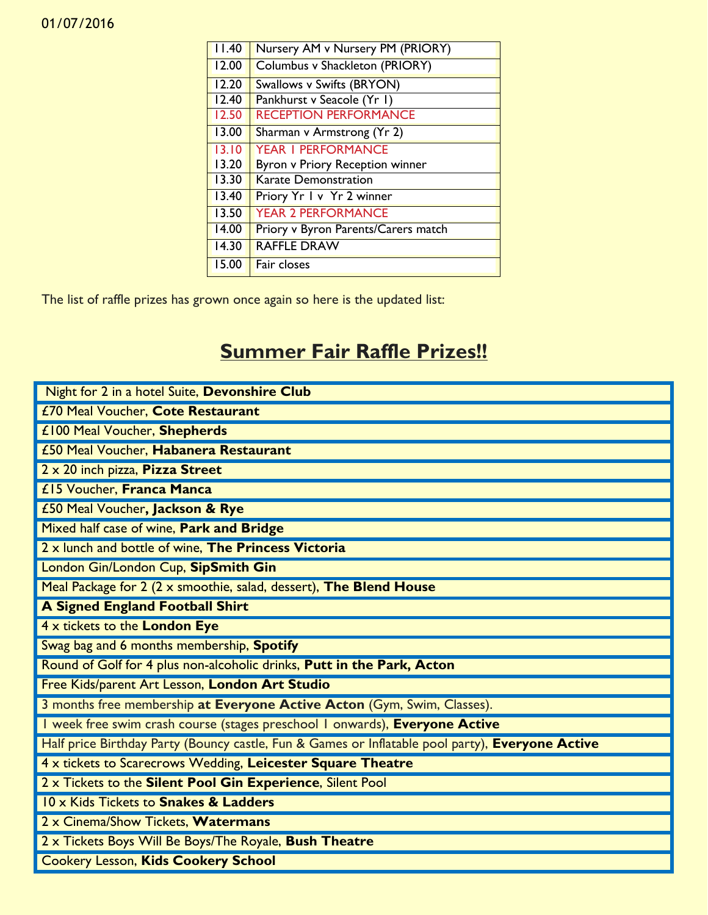| 11.40              | Nursery AM v Nursery PM (PRIORY)    |
|--------------------|-------------------------------------|
| 12.00              | Columbus v Shackleton (PRIORY)      |
| 12.20              | Swallows v Swifts (BRYON)           |
| 12.40              | Pankhurst v Seacole (Yr I)          |
| 12.50              | <b>RECEPTION PERFORMANCE</b>        |
| 13.00              | Sharman v Armstrong (Yr 2)          |
| 13.10              | <b>YEAR I PERFORMANCE</b>           |
| 13.20              | Byron v Priory Reception winner     |
| $\overline{13.30}$ | <b>Karate Demonstration</b>         |
| 13.40              | Priory Yr I v Yr 2 winner           |
| 13.50              | <b>YEAR 2 PERFORMANCE</b>           |
| 14.00              | Priory v Byron Parents/Carers match |
| $\overline{14.30}$ | <b>RAFFLE DRAW</b>                  |
| 15.00              | Fair closes                         |

The list of raffle prizes has grown once again so here is the updated list:

## **Summer Fair Raffle Prizes!!**

| Night for 2 in a hotel Suite, Devonshire Club                                                    |
|--------------------------------------------------------------------------------------------------|
| £70 Meal Voucher, Cote Restaurant                                                                |
| £100 Meal Voucher, Shepherds                                                                     |
| £50 Meal Voucher, Habanera Restaurant                                                            |
| 2 x 20 inch pizza, Pizza Street                                                                  |
| £15 Voucher, Franca Manca                                                                        |
| £50 Meal Voucher, Jackson & Rye                                                                  |
| Mixed half case of wine, Park and Bridge                                                         |
| 2 x lunch and bottle of wine, The Princess Victoria                                              |
| London Gin/London Cup, SipSmith Gin                                                              |
| Meal Package for 2 (2 x smoothie, salad, dessert), The Blend House                               |
| <b>A Signed England Football Shirt</b>                                                           |
| 4 x tickets to the London Eye                                                                    |
| Swag bag and 6 months membership, Spotify                                                        |
| Round of Golf for 4 plus non-alcoholic drinks, Putt in the Park, Acton                           |
| Free Kids/parent Art Lesson, London Art Studio                                                   |
| 3 months free membership at Everyone Active Acton (Gym, Swim, Classes).                          |
| I week free swim crash course (stages preschool I onwards), Everyone Active                      |
| Half price Birthday Party (Bouncy castle, Fun & Games or Inflatable pool party), Everyone Active |
| 4 x tickets to Scarecrows Wedding, Leicester Square Theatre                                      |
| 2 x Tickets to the Silent Pool Gin Experience, Silent Pool                                       |
| 10 x Kids Tickets to Snakes & Ladders                                                            |
| 2 x Cinema/Show Tickets, Watermans                                                               |
| 2 x Tickets Boys Will Be Boys/The Royale, Bush Theatre                                           |
| <b>Cookery Lesson, Kids Cookery School</b>                                                       |